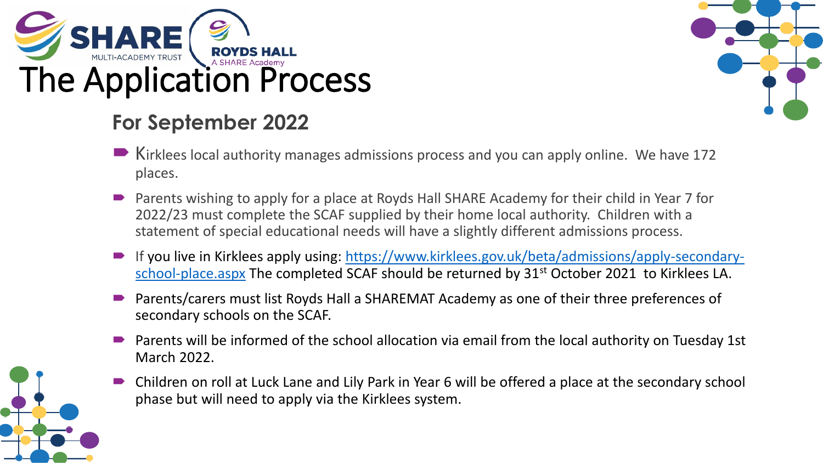





- Kirklees local authority manages admissions process and you can apply online. We have 172 places.
- Parents wishing to apply for a place at Royds Hall SHARE Academy for their child in Year 7 for 2022/23 must complete the SCAF supplied by their home local authority. Children with a statement of special educational needs will have a slightly different admissions process.
- [If you live in Kirklees apply using: https://www.kirklees.gov.uk/beta/admissions/apply-secondary](https://www.kirklees.gov.uk/beta/admissions/apply-secondary-school-place.aspx)school-place.aspx The completed SCAF should be returned by 31<sup>st</sup> October 2021 to Kirklees LA.
- Parents/carers must list Royds Hall a SHAREMAT Academy as one of their three preferences of secondary schools on the SCAF.
- Parents will be informed of the school allocation via email from the local authority on Tuesday 1st March 2022.
- Children on roll at Luck Lane and Lily Park in Year 6 will be offered a place at the secondary school phase but will need to apply via the Kirklees system.

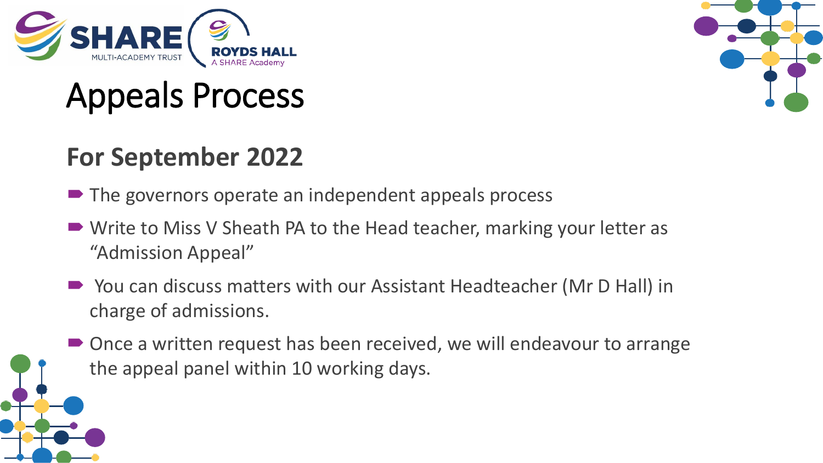

# Appeals Process

### **For September 2022**

- The governors operate an independent appeals process
- Write to Miss V Sheath PA to the Head teacher, marking your letter as "Admission Appeal"
- You can discuss matters with our Assistant Headteacher (Mr D Hall) in charge of admissions.
- Once a written request has been received, we will endeavour to arrange the appeal panel within 10 working days.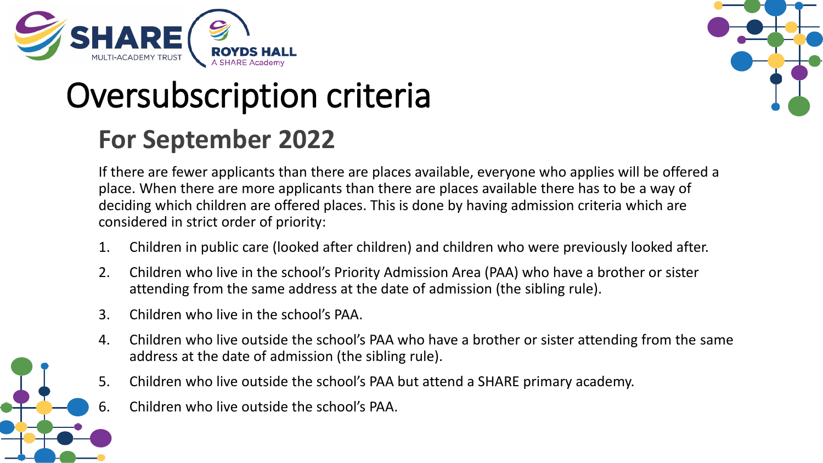

# Oversubscription criteria

### **For September 2022**



If there are fewer applicants than there are places available, everyone who applies will be offered a place. When there are more applicants than there are places available there has to be a way of deciding which children are offered places. This is done by having admission criteria which are considered in strict order of priority:

- 1. Children in public care (looked after children) and children who were previously looked after.
- 2. Children who live in the school's Priority Admission Area (PAA) who have a brother or sister attending from the same address at the date of admission (the sibling rule).
- 3. Children who live in the school's PAA.
- 4. Children who live outside the school's PAA who have a brother or sister attending from the same address at the date of admission (the sibling rule).
- 5. Children who live outside the school's PAA but attend a SHARE primary academy.
- 6. Children who live outside the school's PAA.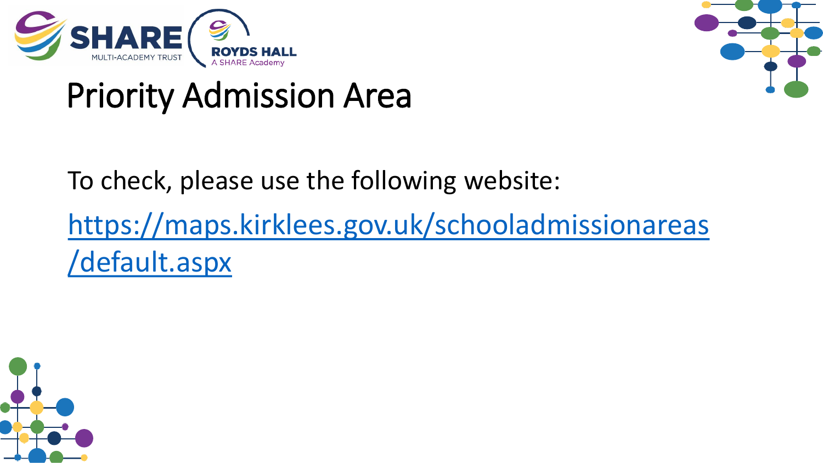

# Priority Admission Area

To check, please use the following website: [https://maps.kirklees.gov.uk/schooladmissionareas](https://maps.kirklees.gov.uk/schooladmissionareas/default.aspx) /default.aspx